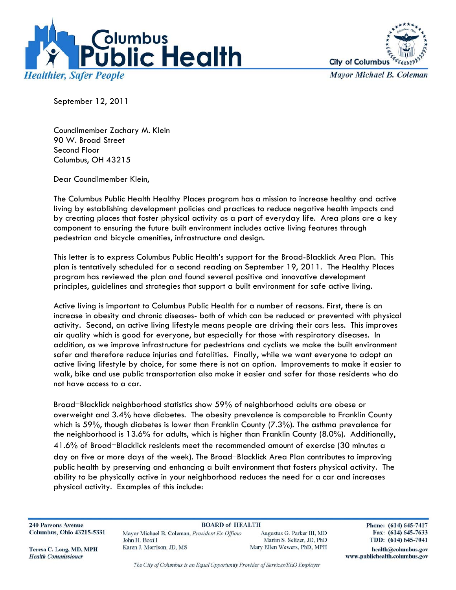



**Mayor Michael B. Coleman** 

September 12, 2011

Councilmember Zachary M. Klein 90 W. Broad Street Second Floor Columbus, OH 43215

Dear Councilmember Klein,

The Columbus Public Health Healthy Places program has a mission to increase healthy and active living by establishing development policies and practices to reduce negative health impacts and by creating places that foster physical activity as a part of everyday life. Area plans are a key component to ensuring the future built environment includes active living features through pedestrian and bicycle amenities, infrastructure and design.

This letter is to express Columbus Public Health's support for the Broad-Blacklick Area Plan. This plan is tentatively scheduled for a second reading on September 19, 2011. The Healthy Places program has reviewed the plan and found several positive and innovative development principles, guidelines and strategies that support a built environment for safe active living.

Active living is important to Columbus Public Health for a number of reasons. First, there is an increase in obesity and chronic diseases- both of which can be reduced or prevented with physical activity. Second, an active living lifestyle means people are driving their cars less. This improves air quality which is good for everyone, but especially for those with respiratory diseases. In addition, as we improve infrastructure for pedestrians and cyclists we make the built environment safer and therefore reduce injuries and fatalities. Finally, while we want everyone to adopt an active living lifestyle by choice, for some there is not an option. Improvements to make it easier to walk, bike and use public transportation also make it easier and safer for those residents who do not have access to a car.

Broad-Blacklick neighborhood statistics show 59% of neighborhood adults are obese or overweight and 3.4% have diabetes. The obesity prevalence is comparable to Franklin County which is 59%, though diabetes is lower than Franklin County (7.3%). The asthma prevalence for the neighborhood is 13.6% for adults, which is higher than Franklin County (8.0%). Additionally, 41.6% of Broad-Blacklick residents meet the recommended amount of exercise (30 minutes a day on five or more days of the week). The Broad-Blacklick Area Plan contributes to improving public health by preserving and enhancing a built environment that fosters physical activity. The ability to be physically active in your neighborhood reduces the need for a car and increases physical activity. Examples of this include:

**240 Parsons Avenue Columbus, Ohio 43215-5331** 

**BOARD of HEALTH** Mayor Michael B. Coleman, President Ex-Officio John H. Boxill Karen J. Morrison, JD, MS

Augustus G. Parker III, MD Martin S. Seltzer, JD, PhD Mary Ellen Wewers, PhD, MPH Phone: (614) 645-7417 Fax: (614) 645-7633 TDD: (614) 645-7041

health@columbus.gov

www.publichealth.columbus.gov

Teresa C. Long, MD, MPH **Health Commissioner** 

The City of Columbus is an Equal Opportunity Provider of Services/EEO Employer